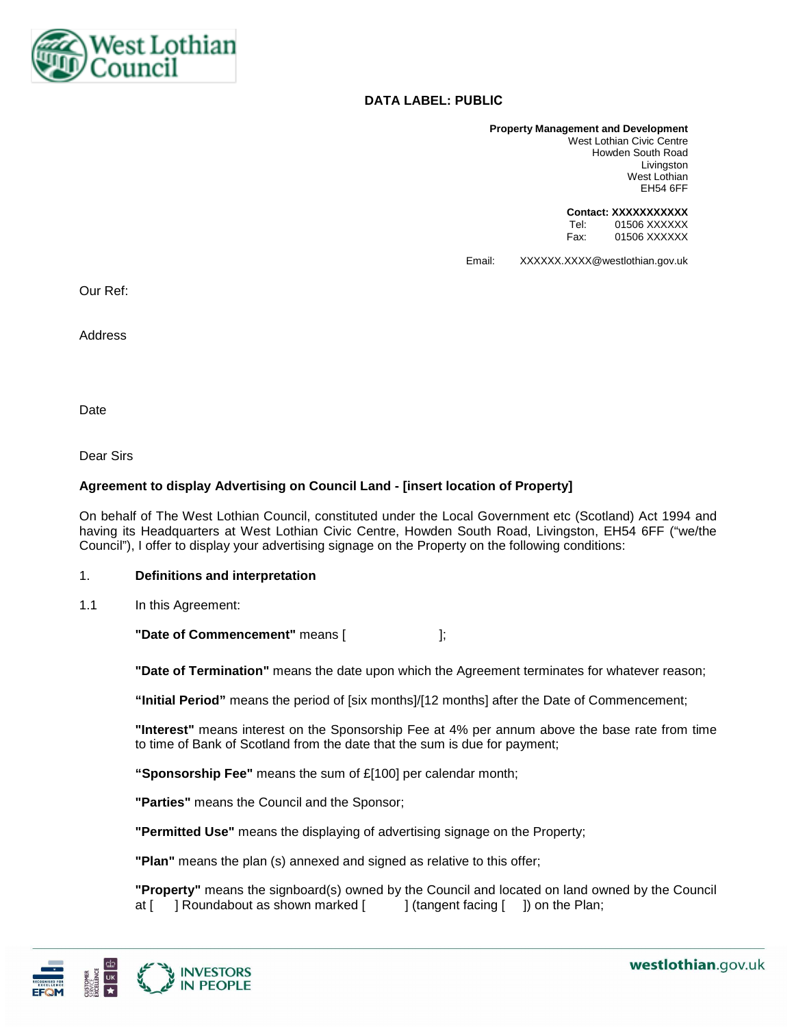

# **DATA LABEL: PUBLIC**

**Property Management and Development**  West Lothian Civic Centre Howden South Road Livingston West Lothian EH54 6FF

> **Contact: XXXXXXXXXXX**  Tel: 01506 XXXXXX Fax: 01506 XXXXXX

Email: XXXXXX.XXXX@westlothian.gov.uk

Our Ref:

Address

Date

Dear Sirs

## **Agreement to display Advertising on Council Land - [insert location of Property]**

On behalf of The West Lothian Council, constituted under the Local Government etc (Scotland) Act 1994 and having its Headquarters at West Lothian Civic Centre, Howden South Road, Livingston, EH54 6FF ("we/the Council"), I offer to display your advertising signage on the Property on the following conditions:

## 1. **Definitions and interpretation**

1.1 In this Agreement:

**"Date of Commencement"** means [ ];

**"Date of Termination"** means the date upon which the Agreement terminates for whatever reason;

**"Initial Period"** means the period of [six months]/[12 months] after the Date of Commencement;

**"Interest"** means interest on the Sponsorship Fee at 4% per annum above the base rate from time to time of Bank of Scotland from the date that the sum is due for payment;

**"Sponsorship Fee"** means the sum of £[100] per calendar month;

**"Parties"** means the Council and the Sponsor;

**"Permitted Use"** means the displaying of advertising signage on the Property;

**"Plan"** means the plan (s) annexed and signed as relative to this offer;

**"Property"** means the signboard(s) owned by the Council and located on land owned by the Council at [ ] Roundabout as shown marked [ ] (tangent facing [ ]) on the Plan;

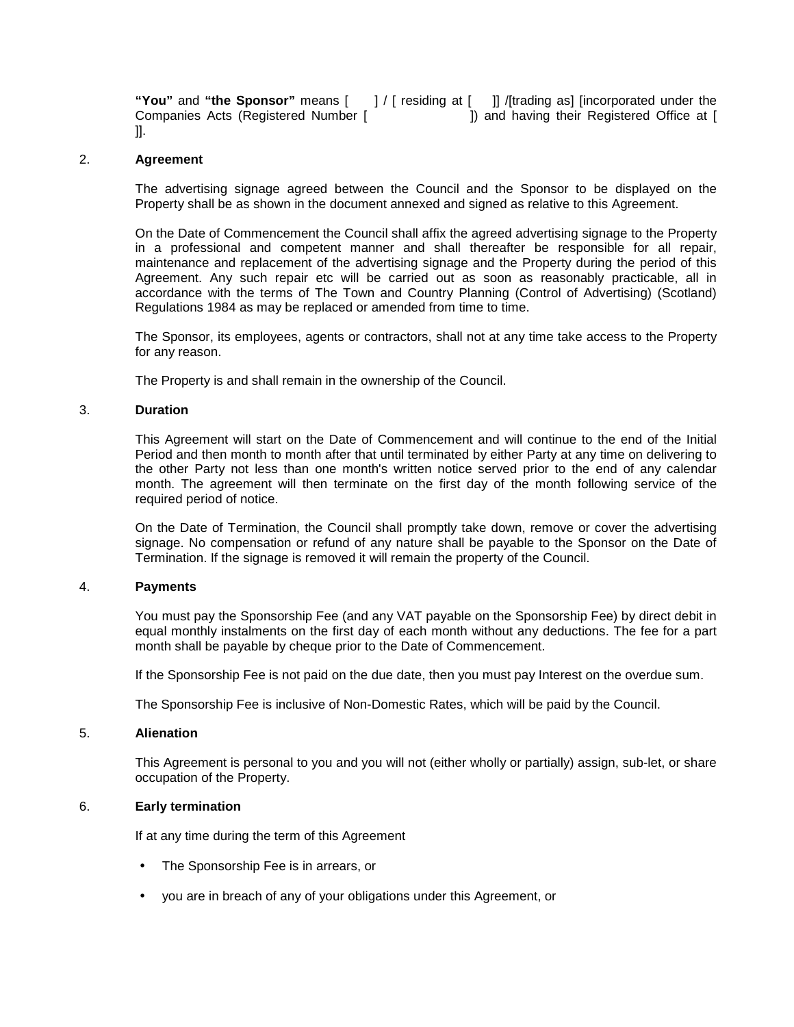**"You"** and **"the Sponsor"** means [ ] / [ residing at [ ]] /[trading as] [incorporated under the Companies Acts (Registered Number [ ]) and having their Registered Office at [ ]].

### 2. **Agreement**

The advertising signage agreed between the Council and the Sponsor to be displayed on the Property shall be as shown in the document annexed and signed as relative to this Agreement.

On the Date of Commencement the Council shall affix the agreed advertising signage to the Property in a professional and competent manner and shall thereafter be responsible for all repair, maintenance and replacement of the advertising signage and the Property during the period of this Agreement. Any such repair etc will be carried out as soon as reasonably practicable, all in accordance with the terms of The Town and Country Planning (Control of Advertising) (Scotland) Regulations 1984 as may be replaced or amended from time to time.

The Sponsor, its employees, agents or contractors, shall not at any time take access to the Property for any reason.

The Property is and shall remain in the ownership of the Council.

## 3. **Duration**

This Agreement will start on the Date of Commencement and will continue to the end of the Initial Period and then month to month after that until terminated by either Party at any time on delivering to the other Party not less than one month's written notice served prior to the end of any calendar month. The agreement will then terminate on the first day of the month following service of the required period of notice.

On the Date of Termination, the Council shall promptly take down, remove or cover the advertising signage. No compensation or refund of any nature shall be payable to the Sponsor on the Date of Termination. If the signage is removed it will remain the property of the Council.

#### 4. **Payments**

You must pay the Sponsorship Fee (and any VAT payable on the Sponsorship Fee) by direct debit in equal monthly instalments on the first day of each month without any deductions. The fee for a part month shall be payable by cheque prior to the Date of Commencement.

If the Sponsorship Fee is not paid on the due date, then you must pay Interest on the overdue sum.

The Sponsorship Fee is inclusive of Non-Domestic Rates, which will be paid by the Council.

#### 5. **Alienation**

This Agreement is personal to you and you will not (either wholly or partially) assign, sub-let, or share occupation of the Property.

## 6. **Early termination**

If at any time during the term of this Agreement

- The Sponsorship Fee is in arrears, or
- you are in breach of any of your obligations under this Agreement, or